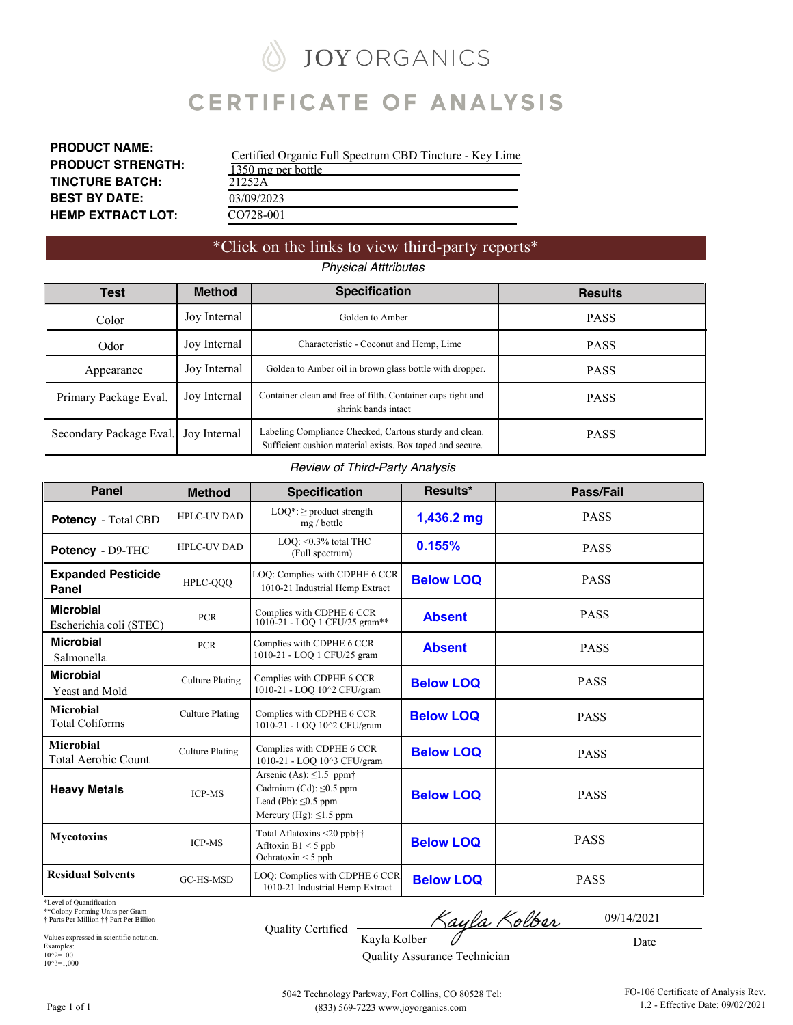## **JOY ORGANICS**

## **CERTIFICATE OF ANALYSIS**

**PRODUCT NAME: PRODUCT STRENGTH: TINCTURE BATCH: BEST BY DATE: HEMP EXTRACT LOT:**

| Certified Organic Full Spectrum CBD Tincture - Key Lime |
|---------------------------------------------------------|
| 1350 mg per bottle                                      |
| 21252A                                                  |
| 03/09/2023                                              |
| CO728-001                                               |

### \*Click on the links to view third-party reports\* *Physical Atttributes*

| Test                    | <b>Method</b> | <b>Specification</b>                                                                                                | <b>Results</b> |
|-------------------------|---------------|---------------------------------------------------------------------------------------------------------------------|----------------|
| Color                   | Joy Internal  | Golden to Amber                                                                                                     | <b>PASS</b>    |
| Odor                    | Joy Internal  | Characteristic - Coconut and Hemp, Lime                                                                             | <b>PASS</b>    |
| Appearance              | Joy Internal  | Golden to Amber oil in brown glass bottle with dropper.                                                             | <b>PASS</b>    |
| Primary Package Eval.   | Joy Internal  | Container clean and free of filth. Container caps tight and<br>shrink bands intact                                  | <b>PASS</b>    |
| Secondary Package Eval. | Joy Internal  | Labeling Compliance Checked, Cartons sturdy and clean.<br>Sufficient cushion material exists. Box taped and secure. | <b>PASS</b>    |

#### *Review of Third-Party Analysis*

| <b>Panel</b>                                | <b>Method</b>          | <b>Specification</b>                                                                                                                | Results*         | Pass/Fail   |
|---------------------------------------------|------------------------|-------------------------------------------------------------------------------------------------------------------------------------|------------------|-------------|
| Potency - Total CBD                         | HPLC-UV DAD            | $LOQ^*$ : $\geq$ product strength<br>mg / bottle                                                                                    | 1,436.2 mg       | <b>PASS</b> |
| Potency - D9-THC                            | <b>HPLC-UV DAD</b>     | LOO: < 0.3% total THC<br>(Full spectrum)                                                                                            | 0.155%           | <b>PASS</b> |
| <b>Expanded Pesticide</b><br>Panel          | HPLC-QQQ               | LOQ: Complies with CDPHE 6 CCR<br>1010-21 Industrial Hemp Extract                                                                   | <b>Below LOQ</b> | <b>PASS</b> |
| <b>Microbial</b><br>Escherichia coli (STEC) | <b>PCR</b>             | Complies with CDPHE 6 CCR<br>1010-21 - LOQ 1 CFU/25 gram**                                                                          | <b>Absent</b>    | <b>PASS</b> |
| <b>Microbial</b><br>Salmonella              | <b>PCR</b>             | Complies with CDPHE 6 CCR<br>1010-21 - LOQ 1 CFU/25 gram                                                                            | <b>Absent</b>    | <b>PASS</b> |
| <b>Microbial</b><br>Yeast and Mold          | <b>Culture Plating</b> | Complies with CDPHE 6 CCR<br>1010-21 - LOQ 10^2 CFU/gram                                                                            | <b>Below LOQ</b> | <b>PASS</b> |
| Microbial<br><b>Total Coliforms</b>         | <b>Culture Plating</b> | Complies with CDPHE 6 CCR<br>1010-21 - LOQ 10^2 CFU/gram                                                                            | <b>Below LOQ</b> | <b>PASS</b> |
| <b>Microbial</b><br>Total Aerobic Count     | <b>Culture Plating</b> | Complies with CDPHE 6 CCR<br>1010-21 - LOQ 10^3 CFU/gram                                                                            | <b>Below LOQ</b> | <b>PASS</b> |
| <b>Heavy Metals</b>                         | <b>ICP-MS</b>          | Arsenic (As): $\leq$ 1.5 ppm $\dagger$<br>Cadmium (Cd): $\leq 0.5$ ppm<br>Lead (Pb): $\leq 0.5$ ppm<br>Mercury (Hg): $\leq$ 1.5 ppm | <b>Below LOQ</b> | <b>PASS</b> |
| <b>Mycotoxins</b>                           | <b>ICP-MS</b>          | Total Aflatoxins <20 ppb††<br>Afltoxin $B1 < 5$ ppb<br>Ochratoxin $\leq$ 5 ppb                                                      | <b>Below LOQ</b> | <b>PASS</b> |
| <b>Residual Solvents</b>                    | GC-HS-MSD              | LOQ: Complies with CDPHE 6 CCR<br>1010-21 Industrial Hemp Extract                                                                   | <b>Below LOQ</b> | <b>PASS</b> |

\*Level of Quantification

\*\*Colony Forming Units per Gram † Parts Per Million †† Part Per Billion

Values expressed in scientific notation. Examples: 10^2=100 10^3=1,000

| <b>Quality Certified</b> |  |  |
|--------------------------|--|--|

Kayla Kolber 7

Kayla Kolber Quality Assurance Technician

Date

09/14/2021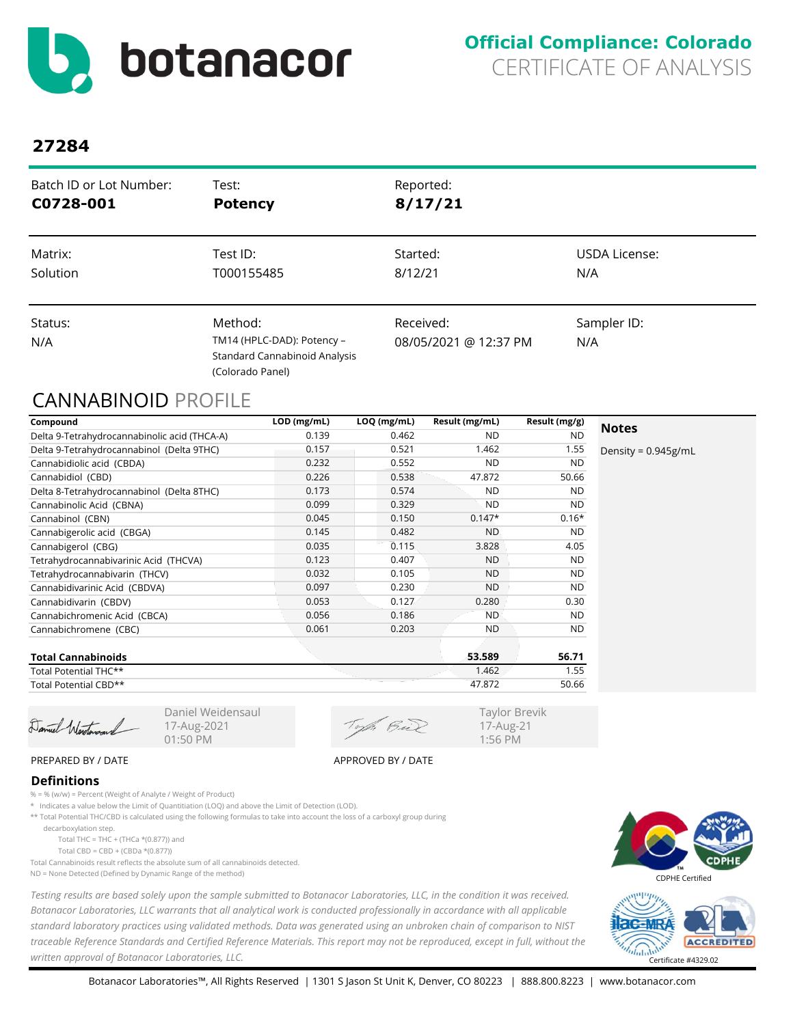<span id="page-1-0"></span>

| Batch ID or Lot Number: | Test:                                                                                      | Reported:                          |                      |
|-------------------------|--------------------------------------------------------------------------------------------|------------------------------------|----------------------|
| C0728-001               | <b>Potency</b>                                                                             | 8/17/21                            |                      |
| Matrix:                 | Test ID:                                                                                   | Started:                           | <b>USDA License:</b> |
| Solution                | T000155485                                                                                 | 8/12/21                            | N/A                  |
| Status:<br>N/A          | Method:<br>TM14 (HPLC-DAD): Potency -<br>Standard Cannabinoid Analysis<br>(Colorado Panel) | Received:<br>08/05/2021 @ 12:37 PM | Sampler ID:<br>N/A   |

## CANNABINOID PROFILE

| Compound                                     | LOD (mg/mL) | LOQ (mg/mL) | Result (mg/mL) | Result (mg/g) |                        |
|----------------------------------------------|-------------|-------------|----------------|---------------|------------------------|
| Delta 9-Tetrahydrocannabinolic acid (THCA-A) | 0.139       | 0.462       | ND.            | <b>ND</b>     | <b>Notes</b>           |
| Delta 9-Tetrahydrocannabinol (Delta 9THC)    | 0.157       | 0.521       | 1.462          | 1.55          | Density = $0.945$ g/mL |
| Cannabidiolic acid (CBDA)                    | 0.232       | 0.552       | <b>ND</b>      | <b>ND</b>     |                        |
| Cannabidiol (CBD)                            | 0.226       | 0.538       | 47.872         | 50.66         |                        |
| Delta 8-Tetrahydrocannabinol (Delta 8THC)    | 0.173       | 0.574       | <b>ND</b>      | <b>ND</b>     |                        |
| Cannabinolic Acid (CBNA)                     | 0.099       | 0.329       | <b>ND</b>      | <b>ND</b>     |                        |
| Cannabinol (CBN)                             | 0.045       | 0.150       | $0.147*$       | $0.16*$       |                        |
| Cannabigerolic acid (CBGA)                   | 0.145       | 0.482       | <b>ND</b>      | <b>ND</b>     |                        |
| Cannabigerol (CBG)                           | 0.035       | 0.115       | 3.828          | 4.05          |                        |
| Tetrahydrocannabivarinic Acid (THCVA)        | 0.123       | 0.407       | <b>ND</b>      | <b>ND</b>     |                        |
| Tetrahydrocannabivarin (THCV)                | 0.032       | 0.105       | <b>ND</b>      | <b>ND</b>     |                        |
| Cannabidivarinic Acid (CBDVA)                | 0.097       | 0.230       | <b>ND</b>      | <b>ND</b>     |                        |
| Cannabidivarin (CBDV)                        | 0.053       | 0.127       | 0.280          | 0.30          |                        |
| Cannabichromenic Acid (CBCA)                 | 0.056       | 0.186       | <b>ND</b>      | <b>ND</b>     |                        |
| Cannabichromene (CBC)                        | 0.061       | 0.203       | <b>ND</b>      | <b>ND</b>     |                        |
| <b>Total Cannabinoids</b>                    |             |             | 53.589         | 56.71         |                        |
| Total Potential THC**                        |             |             | 1.462          | 1.55          |                        |

Total Potential CBD\*\*

Damiel Weretonan

Daniel Weidensaul 17-Aug-2021 01:50 PM

of Bil

47.872 50.66

Taylor Brevik 17-Aug-21 1:56 PM

PREPARED BY / DATE APPROVED BY / DATE

### **Definitions**

% = % (w/w) = Percent (Weight of Analyte / Weight of Product)

\* Indicates a value below the Limit of Quantitiation (LOQ) and above the Limit of Detection (LOD).

\*\* Total Potential THC/CBD is calculated using the following formulas to take into account the loss of a carboxyl group during

decarboxylation step.

Total THC = THC + (THCa  $*(0.877)$ ) and

Total CBD = CBD + (CBDa \*(0.877))

Total Cannabinoids result reflects the absolute sum of all cannabinoids detected. ND = None Detected (Defined by Dynamic Range of the method)

*Testing results are based solely upon the sample submitted to Botanacor Laboratories, LLC, in the condition it was received. Botanacor Laboratories, LLC warrants that all analytical work is conducted professionally in accordance with all applicable standard laboratory practices using validated methods. Data was generated using an unbroken chain of comparison to NIST traceable Reference Standards and Certified Reference Materials. This report may not be reproduced, except in full, without the written approval of Botanacor Laboratories, LLC.* Certificate #4329.02



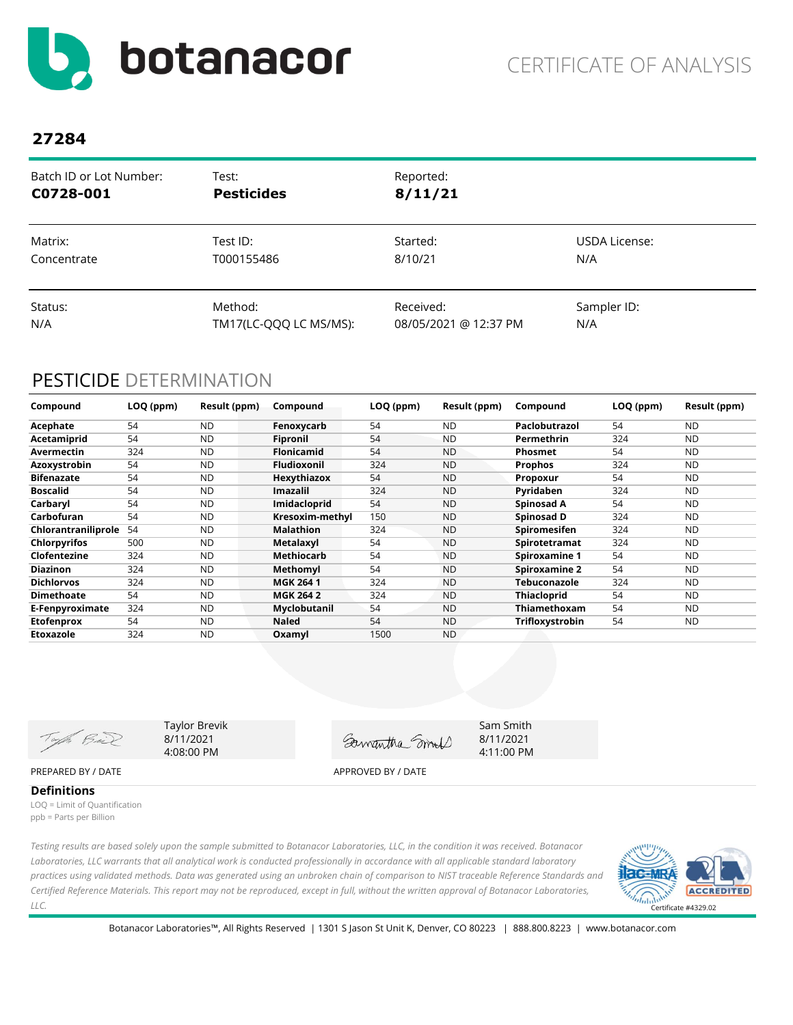<span id="page-2-0"></span>

| Batch ID or Lot Number: | Test:                  | Reported:             |               |
|-------------------------|------------------------|-----------------------|---------------|
| C0728-001               | <b>Pesticides</b>      | 8/11/21               |               |
| Matrix:                 | Test ID:               | Started:              | USDA License: |
| Concentrate             | T000155486             | 8/10/21               | N/A           |
| Status:                 | Method:                | Received:             | Sampler ID:   |
| N/A                     | TM17(LC-QQQ LC MS/MS): | 08/05/2021 @ 12:37 PM | N/A           |

## PESTICIDE DETERMINATION

| Compound            | LOQ (ppm) | Result (ppm) | Compound           | LOQ (ppm) | Result (ppm) | Compound             | LOQ (ppm) | Result (ppm) |
|---------------------|-----------|--------------|--------------------|-----------|--------------|----------------------|-----------|--------------|
| Acephate            | 54        | <b>ND</b>    | Fenoxycarb         | 54        | <b>ND</b>    | Paclobutrazol        | 54        | <b>ND</b>    |
| Acetamiprid         | 54        | <b>ND</b>    | <b>Fipronil</b>    | 54        | <b>ND</b>    | Permethrin           | 324       | <b>ND</b>    |
| Avermectin          | 324       | <b>ND</b>    | <b>Flonicamid</b>  | 54        | <b>ND</b>    | <b>Phosmet</b>       | 54        | <b>ND</b>    |
| Azoxystrobin        | 54        | <b>ND</b>    | <b>Fludioxonil</b> | 324       | <b>ND</b>    | <b>Prophos</b>       | 324       | <b>ND</b>    |
| <b>Bifenazate</b>   | 54        | <b>ND</b>    | Hexythiazox        | 54        | <b>ND</b>    | Propoxur             | 54        | <b>ND</b>    |
| <b>Boscalid</b>     | 54        | <b>ND</b>    | <b>Imazalil</b>    | 324       | <b>ND</b>    | Pyridaben            | 324       | <b>ND</b>    |
| Carbaryl            | 54        | <b>ND</b>    | Imidacloprid       | 54        | <b>ND</b>    | Spinosad A           | 54        | <b>ND</b>    |
| Carbofuran          | 54        | <b>ND</b>    | Kresoxim-methyl    | 150       | <b>ND</b>    | Spinosad D           | 324       | <b>ND</b>    |
| Chlorantraniliprole | 54        | <b>ND</b>    | <b>Malathion</b>   | 324       | <b>ND</b>    | <b>Spiromesifen</b>  | 324       | <b>ND</b>    |
| <b>Chlorpyrifos</b> | 500       | <b>ND</b>    | Metalaxyl          | 54        | <b>ND</b>    | Spirotetramat        | 324       | <b>ND</b>    |
| Clofentezine        | 324       | <b>ND</b>    | Methiocarb         | 54        | <b>ND</b>    | <b>Spiroxamine 1</b> | 54        | <b>ND</b>    |
| <b>Diazinon</b>     | 324       | <b>ND</b>    | Methomyl           | 54        | <b>ND</b>    | <b>Spiroxamine 2</b> | 54        | <b>ND</b>    |
| <b>Dichlorvos</b>   | 324       | <b>ND</b>    | <b>MGK 2641</b>    | 324       | <b>ND</b>    | <b>Tebuconazole</b>  | 324       | <b>ND</b>    |
| <b>Dimethoate</b>   | 54        | <b>ND</b>    | <b>MGK 264 2</b>   | 324       | <b>ND</b>    | <b>Thiacloprid</b>   | 54        | <b>ND</b>    |
| E-Fenpyroximate     | 324       | <b>ND</b>    | Myclobutanil       | 54        | <b>ND</b>    | Thiamethoxam         | 54        | ND           |
| <b>Etofenprox</b>   | 54        | <b>ND</b>    | <b>Naled</b>       | 54        | <b>ND</b>    | Trifloxystrobin      | 54        | ND           |
| Etoxazole           | 324       | <b>ND</b>    | Oxamyl             | 1500      | <b>ND</b>    |                      |           |              |

Taylor Brevik Sam Smith Toph Bail 8/11/2021 Gamantha Smort 4:08:00 PM PREPARED BY / DATE APPROVED BY / DATE

8/11/2021 4:11:00 PM

**Definitions** LOQ = Limit of Quantification ppb = Parts per Billion

*Testing results are based solely upon the sample submitted to Botanacor Laboratories, LLC, in the condition it was received. Botanacor Laboratories, LLC warrants that all analytical work is conducted professionally in accordance with all applicable standard laboratory practices using validated methods. Data was generated using an unbroken chain of comparison to NIST traceable Reference Standards and Certified Reference Materials. This report may not be reproduced, except in full, without the written approval of Botanacor Laboratories, LLC.* 

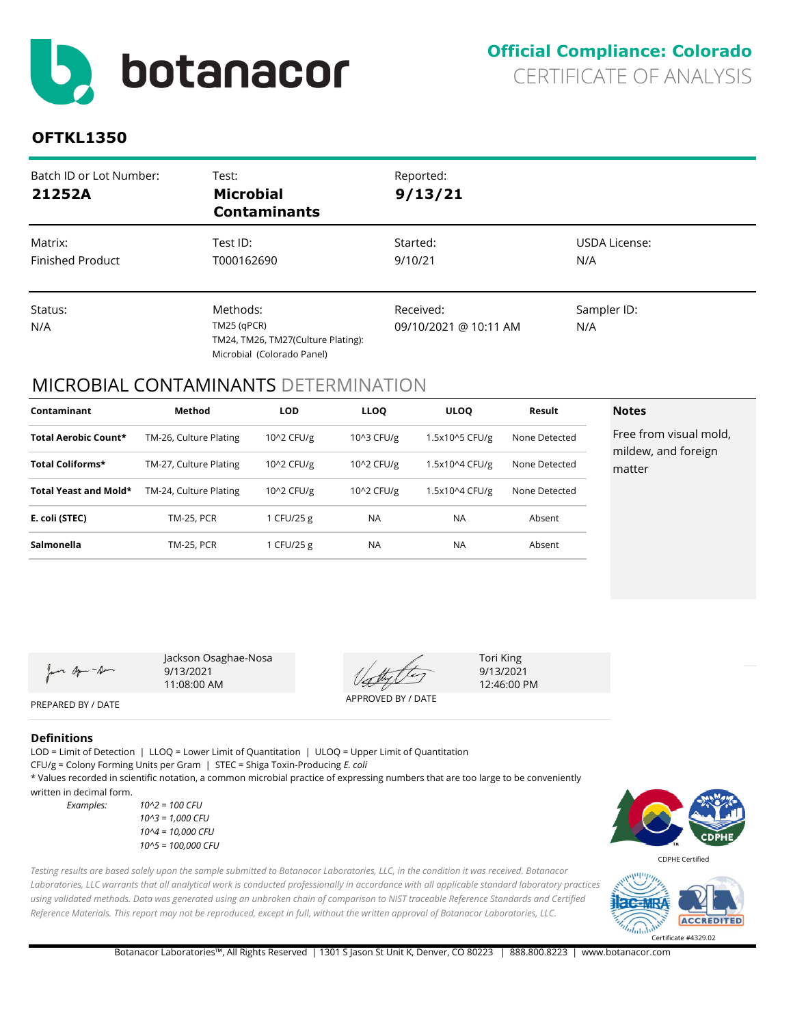<span id="page-3-0"></span>

## **OFTKL1350**

| Batch ID or Lot Number:<br>21252A  | Test:<br><b>Microbial</b><br><b>Contaminants</b>                                              | Reported:<br>9/13/21               |                      |
|------------------------------------|-----------------------------------------------------------------------------------------------|------------------------------------|----------------------|
| Matrix:<br><b>Finished Product</b> | Test ID:<br>T000162690                                                                        | Started:<br>9/10/21                | USDA License:<br>N/A |
| Status:<br>N/A                     | Methods:<br>$TM25$ (qPCR)<br>TM24, TM26, TM27(Culture Plating):<br>Microbial (Colorado Panel) | Received:<br>09/10/2021 @ 10:11 AM | Sampler ID:<br>N/A   |

## MICROBIAL CONTAMINANTS DETERMINATION

| Contaminant           | Method                 | <b>LOD</b> | <b>LLOO</b> | <b>ULOO</b>    | Result        | <b>Notes</b>                                  |
|-----------------------|------------------------|------------|-------------|----------------|---------------|-----------------------------------------------|
| Total Aerobic Count*  | TM-26, Culture Plating | 10^2 CFU/g | 10^3 CFU/g  | 1.5x10^5 CFU/g | None Detected | Free from visual mold,<br>mildew, and foreign |
| Total Coliforms*      | TM-27, Culture Plating | 10^2 CFU/g | 10^2 CFU/g  | 1.5x10^4 CFU/g | None Detected | matter                                        |
| Total Yeast and Mold* | TM-24, Culture Plating | 10^2 CFU/g | 10^2 CFU/g  | 1.5x10^4 CFU/g | None Detected |                                               |
| E. coli (STEC)        | <b>TM-25, PCR</b>      | 1 CFU/25 g | <b>NA</b>   | <b>NA</b>      | Absent        |                                               |
| Salmonella            | <b>TM-25, PCR</b>      | 1 CFU/25 g | <b>NA</b>   | <b>NA</b>      | Absent        |                                               |

on apon - Am

Jackson Osaghae-Nosa 9/13/2021 11:08:00 AM

APPROVED BY / DATE

Tori King 9/13/2021 12:46:00 PM

# PREPARED BY / DATE

LOD = Limit of Detection | LLOQ = Lower Limit of Quantitation | ULOQ = Upper Limit of Quantitation **Definitions**

CFU/g = Colony Forming Units per Gram | STEC = Shiga Toxin-Producing *E. coli*

\* Values recorded in scientific notation, a common microbial practice of expressing numbers that are too large to be conveniently written in decimal form.

*Examples: 10^2 = 100 CFU 10^3 = 1,000 CFU 10^4 = 10,000 CFU 10^5 = 100,000 CFU*



*Testing results are based solely upon the sample submitted to Botanacor Laboratories, LLC, in the condition it was received. Botanacor* 



Laboratories, LLC warrants that all analytical work is conducted professionally in accordance with all applicable standard laboratory practices *using validated methods. Data was generated using an unbroken chain of comparison to NIST traceable Reference Standards and Certified Reference Materials. This report may not be reproduced, except in full, without the written approval of Botanacor Laboratories, LLC.* 

Botanacor Laboratories™, All Rights Reserved | 1301 S Jason St Unit K, Denver, CO 80223 | 888.800.8223 | www.botanacor.com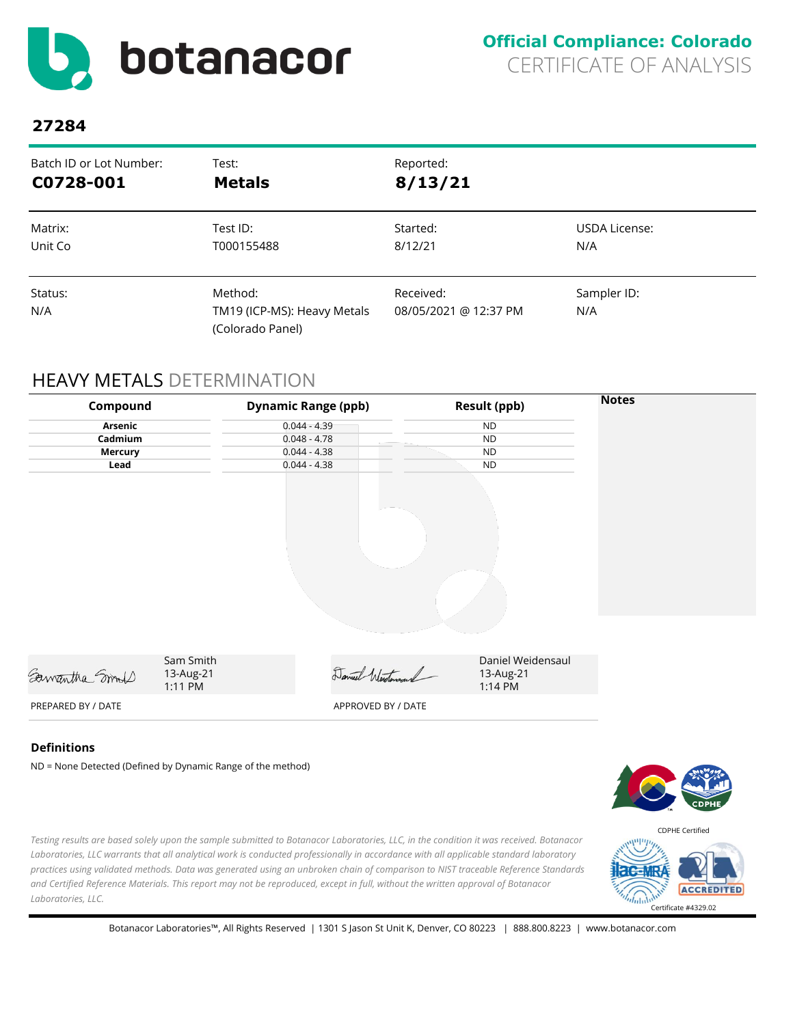<span id="page-4-0"></span>

| Batch ID or Lot Number: | Test:                                                      | Reported:                          |                    |
|-------------------------|------------------------------------------------------------|------------------------------------|--------------------|
| C0728-001               | <b>Metals</b>                                              | 8/13/21                            |                    |
| Matrix:                 | Test ID:                                                   | Started:                           | USDA License:      |
| Unit Co                 | T000155488                                                 | 8/12/21                            | N/A                |
| Status:<br>N/A          | Method:<br>TM19 (ICP-MS): Heavy Metals<br>(Colorado Panel) | Received:<br>08/05/2021 @ 12:37 PM | Sampler ID:<br>N/A |

## HEAVY METALS DETERMINATION

| Compound       |                                   | <b>Dynamic Range (ppb)</b> | <b>Result (ppb)</b>                       | <b>Notes</b> |
|----------------|-----------------------------------|----------------------------|-------------------------------------------|--------------|
| Arsenic        |                                   | $0.044 - 4.39$             | <b>ND</b>                                 |              |
| Cadmium        |                                   | $0.048 - 4.78$             | <b>ND</b>                                 |              |
| <b>Mercury</b> |                                   | $0.044 - 4.38$             | <b>ND</b>                                 |              |
| Lead           |                                   | $0.044 - 4.38$             | <b>ND</b>                                 |              |
|                |                                   |                            |                                           |              |
|                |                                   |                            |                                           |              |
| Samantha Smoot | Sam Smith<br>13-Aug-21<br>1:11 PM | Daniel Westersand          | Daniel Weidensaul<br>13-Aug-21<br>1:14 PM |              |
|                |                                   |                            |                                           |              |

### **Definitions**

ND = None Detected (Defined by Dynamic Range of the method)



*Testing results are based solely upon the sample submitted to Botanacor Laboratories, LLC, in the condition it was received. Botanacor Laboratories, LLC warrants that all analytical work is conducted professionally in accordance with all applicable standard laboratory practices using validated methods. Data was generated using an unbroken chain of comparison to NIST traceable Reference Standards and Certified Reference Materials. This report may not be reproduced, except in full, without the written approval of Botanacor Laboratories, LLC.* 

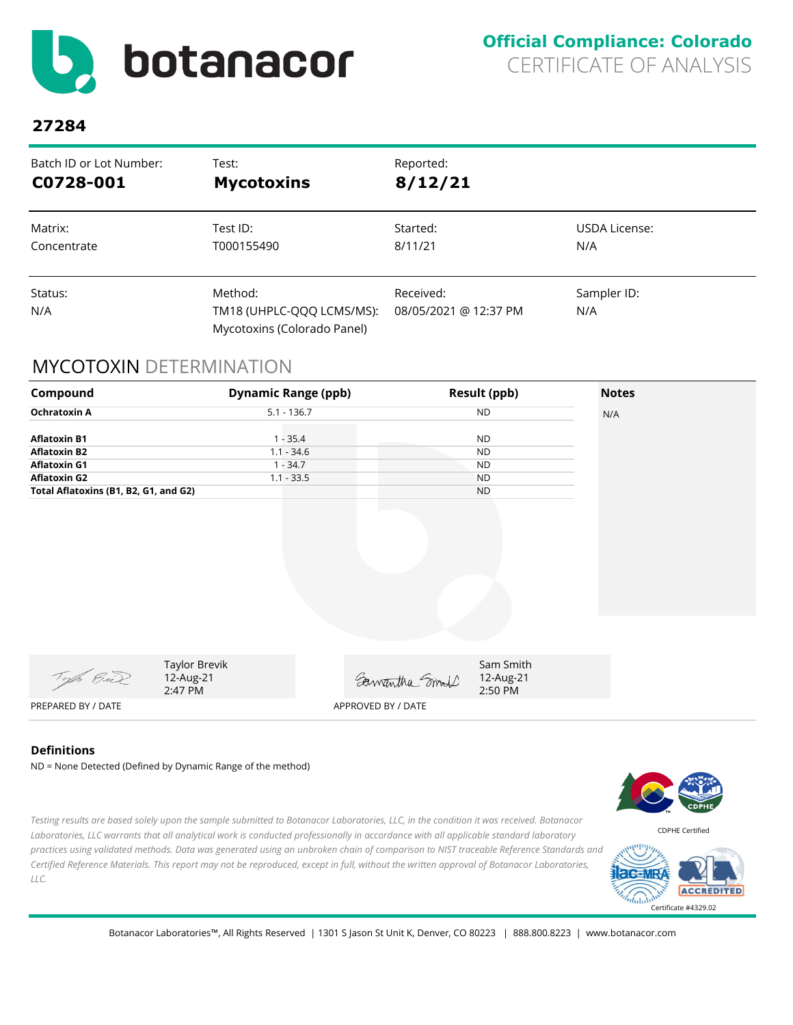<span id="page-5-0"></span>

| Batch ID or Lot Number: | Test:                                                               | Reported:                          |                    |
|-------------------------|---------------------------------------------------------------------|------------------------------------|--------------------|
| C0728-001               | <b>Mycotoxins</b>                                                   | 8/12/21                            |                    |
| Matrix:                 | Test ID:                                                            | Started:                           | USDA License:      |
| Concentrate             | T000155490                                                          | 8/11/21                            | N/A                |
| Status:<br>N/A          | Method:<br>TM18 (UHPLC-QQQ LCMS/MS):<br>Mycotoxins (Colorado Panel) | Received:<br>08/05/2021 @ 12:37 PM | Sampler ID:<br>N/A |

## MYCOTOXIN DETERMINATION



### **Definitions**

*LLC.* 

ND = None Detected (Defined by Dynamic Range of the method)



 $d_{\rm min}$ 

Botanacor Laboratories™, All Rights Reserved | 1301 S Jason St Unit K, Denver, CO 80223 | 888.800.8223 | www.botanacor.com

*Testing results are based solely upon the sample submitted to Botanacor Laboratories, LLC, in the condition it was received. Botanacor Laboratories, LLC warrants that all analytical work is conducted professionally in accordance with all applicable standard laboratory* 

Certificate #4329.02